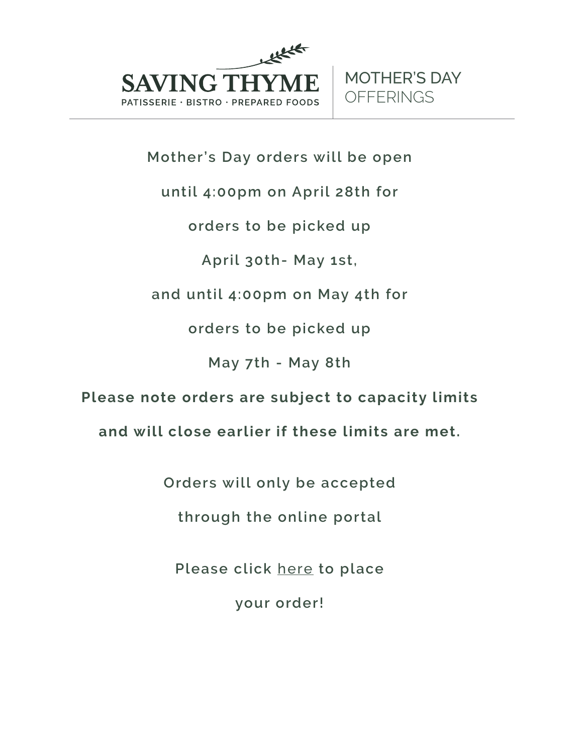

# **Mother's Day orders will be open**

**until 4:00pm on April 28th for** 

**orders to be picked up** 

**April 30th- May 1st,** 

**and until 4:00pm on May 4th for** 

**orders to be picked up** 

**May 7th - May 8th** 

**Please note orders are subject to capacity limits** 

**and will close earlier if these limits are met.** 

**Orders will only be accepted** 

**through the online portal** 

**Please click** [here](https://www.savingthyme.ca/order_online_e22-2.html) **to place** 

**your order!**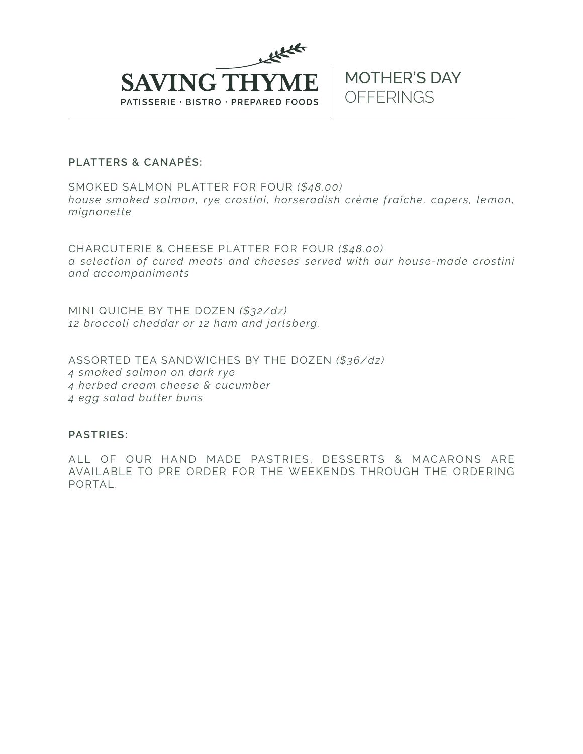

### **PLATTERS & CANAPÉS:**

SMOKED SALMON PLATTER FOR FOUR *(\$48.00) house smoked salmon, rye crostini, horseradish crème fraîche, capers, lemon, mignonette* 

CHARCUTERIE & CHEESE PLATTER FOR FOUR *(\$48.00) a selection of cured meats and cheeses served with our house-made crostini and accompaniments* 

MINI QUICHE BY THE DOZEN *(\$32/dz) 12 broccoli cheddar or 12 ham and jarlsberg.* 

ASSORTED TEA SANDWICHES BY THE DOZEN *(\$36/dz) 4 smoked salmon on dark rye 4 herbed cream cheese & cucumber 4 egg salad butter buns* 

## **PASTRIES:**

ALL OF OUR HAND MADE PASTRIES, DESSERTS & MACARONS ARE AVAILABLE TO PRE ORDER FOR THE WEEKENDS THROUGH THE ORDERING PORTAL.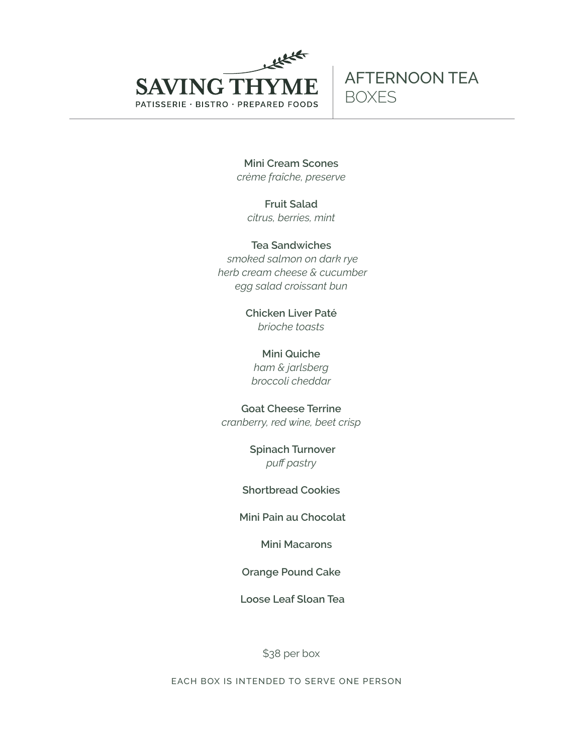

**Mini Cream Scones**  *crème fraîche, preserve* 

**Fruit Salad**  *citrus, berries, mint* 

**Tea Sandwiches**   *smoked salmon on dark rye herb cream cheese & cucumber egg salad croissant bun* 

> **Chicken Liver Paté**  *brioche toasts*

**Mini Quiche**  *ham & jarlsberg broccoli cheddar*

**Goat Cheese Terrine**  *cranberry, red wine, beet crisp* 

> **Spinach Turnover**  *puff pastry*

**Shortbread Cookies** 

 **Mini Pain au Chocolat** 

 **Mini Macarons** 

**Orange Pound Cake** 

 **Loose Leaf Sloan Tea** 

\$38 per box

**EACH BOX IS INTENDED TO SERVE ONE PERSON**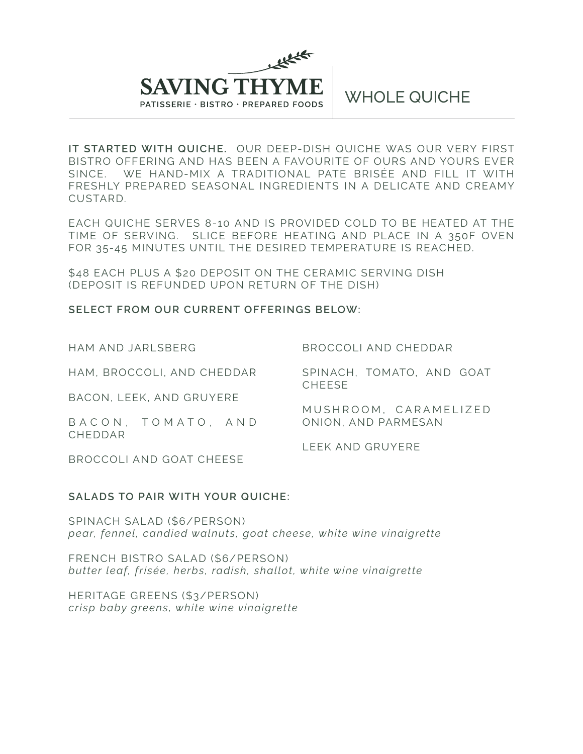

 **IT STARTED WITH QUICHE.** OUR DEEP-DISH QUICHE WAS OUR VERY FIRST BISTRO OFFERING AND HAS BEEN A FAVOURITE OF OURS AND YOURS EVER SINCE. WE HAND-MIX A TRADITIONAL PATE BRISÉE AND FILL IT WITH FRESHLY PREPARED SEASONAL INGREDIENTS IN A DELICATE AND CREAMY CUSTARD.

EACH QUICHE SERVES 8-10 AND IS PROVIDED COLD TO BE HEATED AT THE TIME OF SERVING. SLICE BEFORE HEATING AND PLACE IN A 350F OVEN FOR 35-45 MINUTES UNTIL THE DESIRED TEMPERATURE IS REACHED.

\$48 EACH PLUS A \$20 DEPOSIT ON THE CERAMIC SERVING DISH (DEPOSIT IS REFUNDED UPON RETURN OF THE DISH)

#### **SELECT FROM OUR CURRENT OFFERINGS BELOW:**

HAM AND JARLSBERG

BROCCOLI AND CHEDDAR

HAM, BROCCOLI, AND CHEDDAR

SPINACH, TOMATO, AND GOAT CHEESE

MUSHROOM, CARAMELIZED

BACON, LEEK, AND GRUYERE

B A C O N , T O M A T O , A N D CHEDDAR

LEEK AND GRUYERE

ONION, AND PARMESAN

BROCCOLI AND GOAT CHEESE

## **SALADS TO PAIR WITH YOUR QUICHE:**

SPINACH SALAD (\$6/PERSON) *pear, fennel, candied walnuts, goat cheese, white wine vinaigrette* 

FRENCH BISTRO SALAD (\$6/PERSON) *butter leaf, frisée, herbs, radish, shallot, white wine vinaigrette* 

HERITAGE GREENS (\$3/PERSON) *crisp baby greens, white wine vinaigrette*